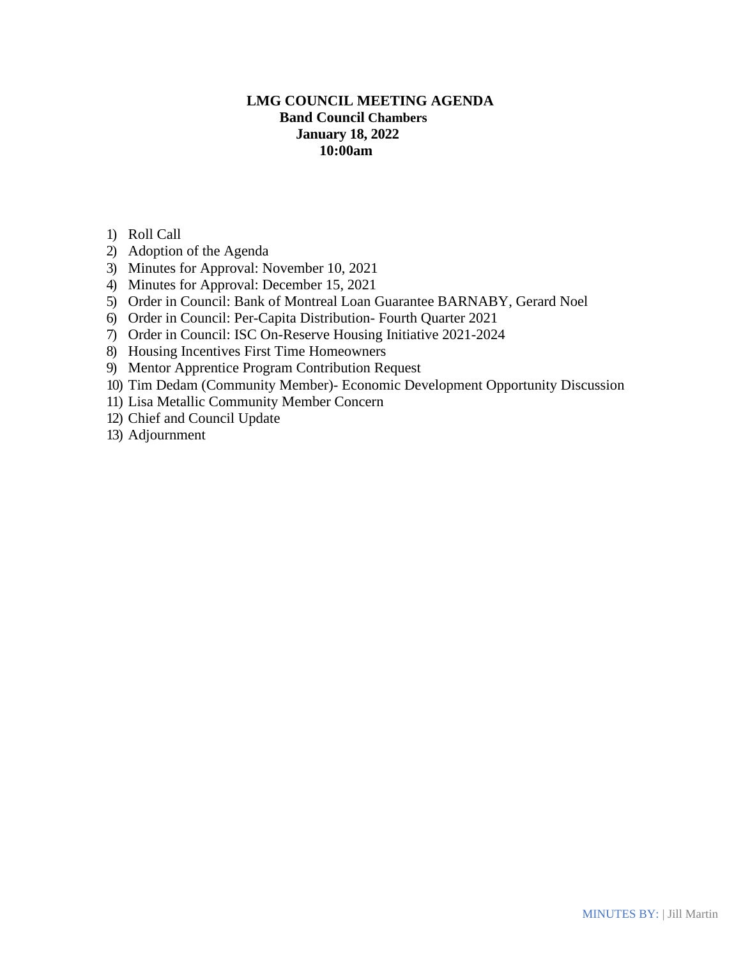# **LMG COUNCIL MEETING AGENDA Band Council Chambers January 18, 2022 10:00am**

- 1) Roll Call
- 2) Adoption of the Agenda
- 3) Minutes for Approval: November 10, 2021
- 4) Minutes for Approval: December 15, 2021
- 5) Order in Council: Bank of Montreal Loan Guarantee BARNABY, Gerard Noel
- 6) Order in Council: Per-Capita Distribution- Fourth Quarter 2021
- 7) Order in Council: ISC On-Reserve Housing Initiative 2021-2024
- 8) Housing Incentives First Time Homeowners
- 9) Mentor Apprentice Program Contribution Request
- 10) Tim Dedam (Community Member)- Economic Development Opportunity Discussion
- 11) Lisa Metallic Community Member Concern
- 12) Chief and Council Update
- 13) Adjournment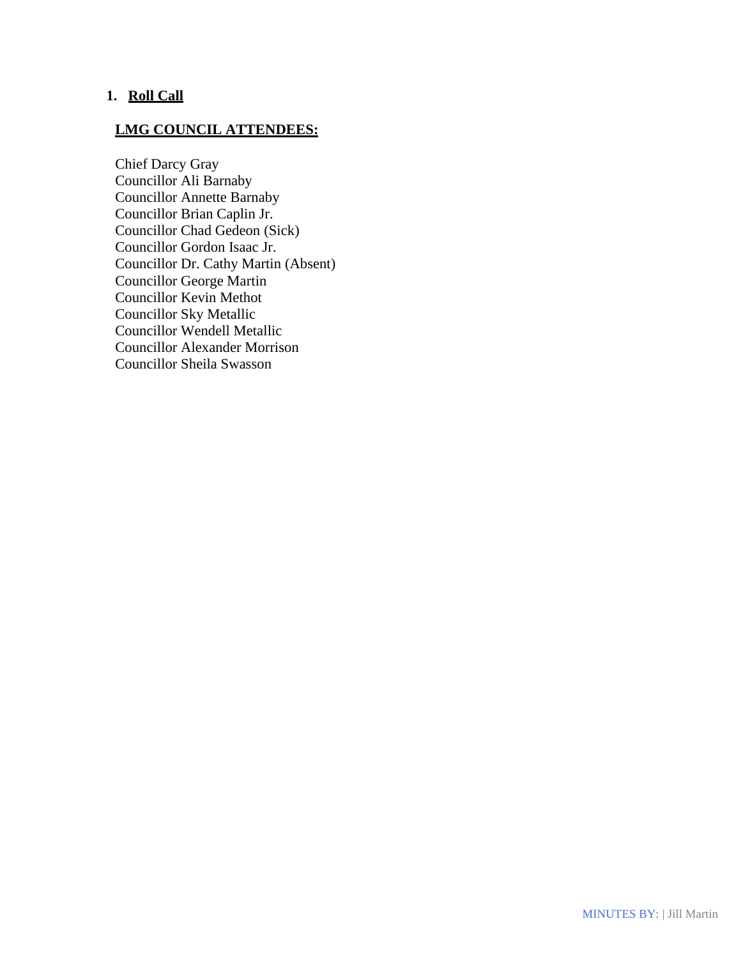# **1. Roll Call**

# **LMG COUNCIL ATTENDEES:**

Chief Darcy Gray Councillor Ali Barnaby Councillor Annette Barnaby Councillor Brian Caplin Jr. Councillor Chad Gedeon (Sick) Councillor Gordon Isaac Jr. Councillor Dr. Cathy Martin (Absent) Councillor George Martin Councillor Kevin Methot Councillor Sky Metallic Councillor Wendell Metallic Councillor Alexander Morrison Councillor Sheila Swasson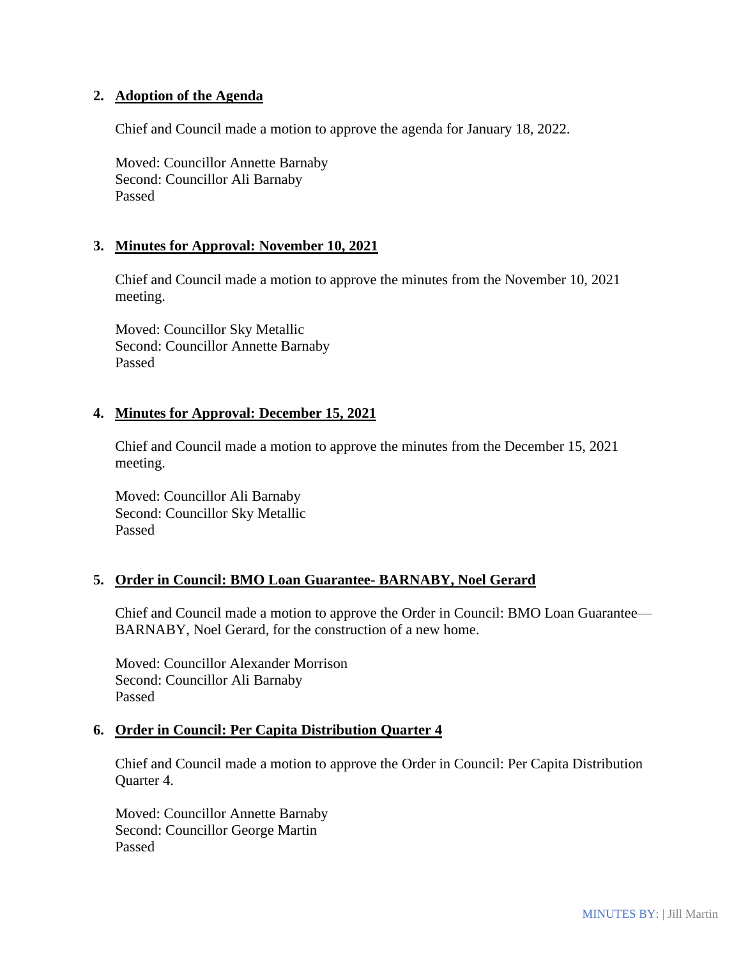## **2. Adoption of the Agenda**

Chief and Council made a motion to approve the agenda for January 18, 2022.

Moved: Councillor Annette Barnaby Second: Councillor Ali Barnaby Passed

#### **3. Minutes for Approval: November 10, 2021**

Chief and Council made a motion to approve the minutes from the November 10, 2021 meeting.

Moved: Councillor Sky Metallic Second: Councillor Annette Barnaby Passed

#### **4. Minutes for Approval: December 15, 2021**

Chief and Council made a motion to approve the minutes from the December 15, 2021 meeting.

Moved: Councillor Ali Barnaby Second: Councillor Sky Metallic Passed

#### **5. Order in Council: BMO Loan Guarantee- BARNABY, Noel Gerard**

Chief and Council made a motion to approve the Order in Council: BMO Loan Guarantee— BARNABY, Noel Gerard, for the construction of a new home.

Moved: Councillor Alexander Morrison Second: Councillor Ali Barnaby Passed

#### **6. Order in Council: Per Capita Distribution Quarter 4**

Chief and Council made a motion to approve the Order in Council: Per Capita Distribution Quarter 4.

Moved: Councillor Annette Barnaby Second: Councillor George Martin Passed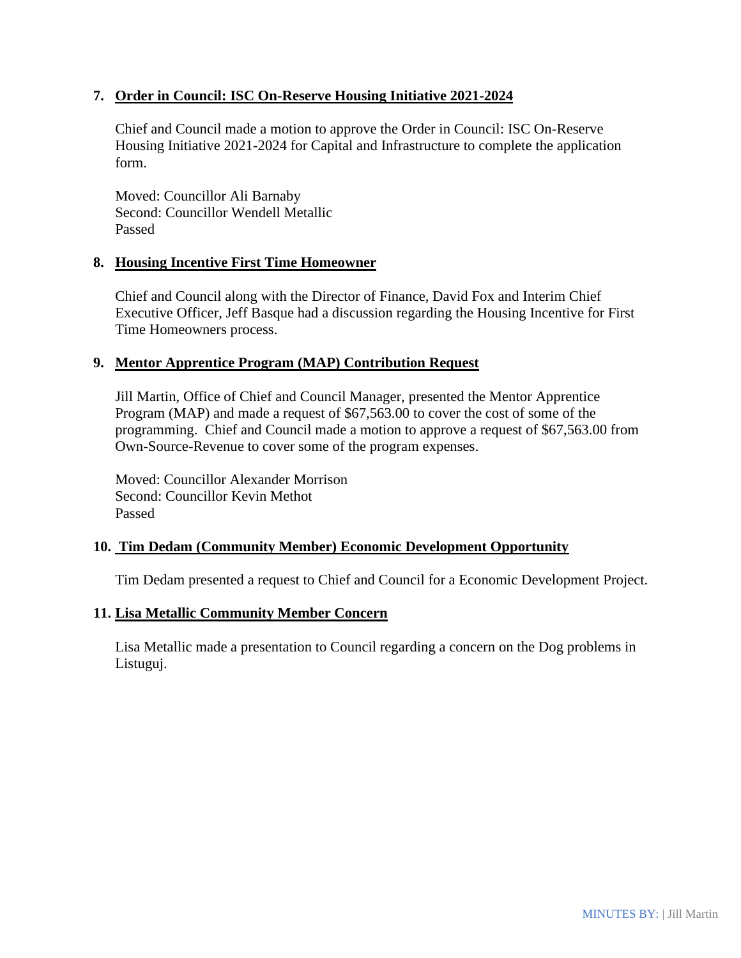## **7. Order in Council: ISC On-Reserve Housing Initiative 2021-2024**

Chief and Council made a motion to approve the Order in Council: ISC On-Reserve Housing Initiative 2021-2024 for Capital and Infrastructure to complete the application form.

Moved: Councillor Ali Barnaby Second: Councillor Wendell Metallic Passed

## **8. Housing Incentive First Time Homeowner**

Chief and Council along with the Director of Finance, David Fox and Interim Chief Executive Officer, Jeff Basque had a discussion regarding the Housing Incentive for First Time Homeowners process.

## **9. Mentor Apprentice Program (MAP) Contribution Request**

Jill Martin, Office of Chief and Council Manager, presented the Mentor Apprentice Program (MAP) and made a request of \$67,563.00 to cover the cost of some of the programming. Chief and Council made a motion to approve a request of \$67,563.00 from Own-Source-Revenue to cover some of the program expenses.

Moved: Councillor Alexander Morrison Second: Councillor Kevin Methot Passed

## **10. Tim Dedam (Community Member) Economic Development Opportunity**

Tim Dedam presented a request to Chief and Council for a Economic Development Project.

#### **11. Lisa Metallic Community Member Concern**

Lisa Metallic made a presentation to Council regarding a concern on the Dog problems in Listuguj.